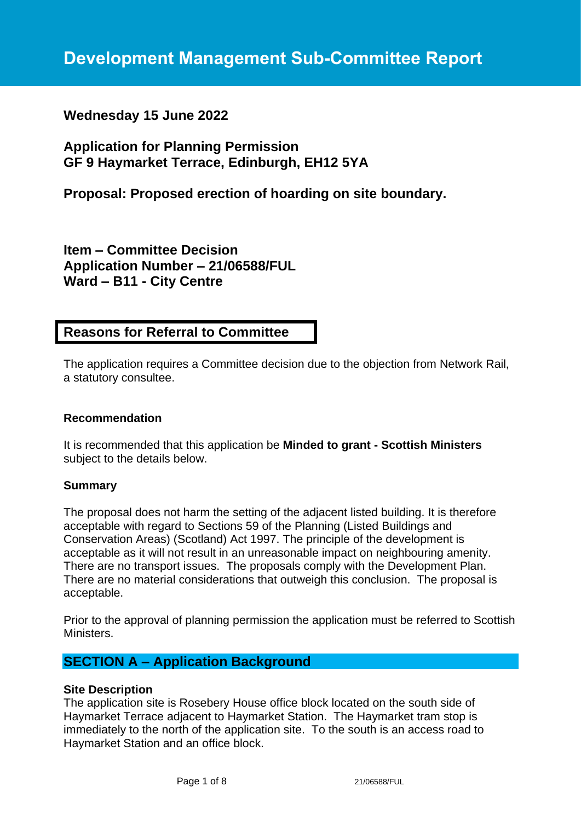# **Wednesday 15 June 2022**

**Application for Planning Permission GF 9 Haymarket Terrace, Edinburgh, EH12 5YA**

**Proposal: Proposed erection of hoarding on site boundary.**

**Item – Committee Decision Application Number – 21/06588/FUL Ward – B11 - City Centre**

# **Reasons for Referral to Committee**

The application requires a Committee decision due to the objection from Network Rail, a statutory consultee.

## **Recommendation**

It is recommended that this application be **Minded to grant - Scottish Ministers** subject to the details below.

### **Summary**

The proposal does not harm the setting of the adjacent listed building. It is therefore acceptable with regard to Sections 59 of the Planning (Listed Buildings and Conservation Areas) (Scotland) Act 1997. The principle of the development is acceptable as it will not result in an unreasonable impact on neighbouring amenity. There are no transport issues. The proposals comply with the Development Plan. There are no material considerations that outweigh this conclusion. The proposal is acceptable.

Prior to the approval of planning permission the application must be referred to Scottish Ministers.

# **SECTION A – Application Background**

### **Site Description**

The application site is Rosebery House office block located on the south side of Haymarket Terrace adjacent to Haymarket Station. The Haymarket tram stop is immediately to the north of the application site. To the south is an access road to Haymarket Station and an office block.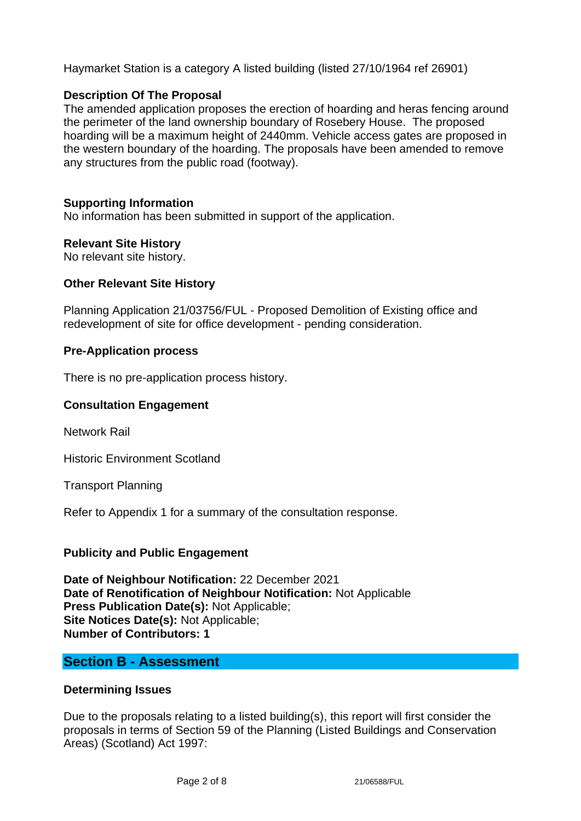Haymarket Station is a category A listed building (listed 27/10/1964 ref 26901)

# **Description Of The Proposal**

The amended application proposes the erection of hoarding and heras fencing around the perimeter of the land ownership boundary of Rosebery House. The proposed hoarding will be a maximum height of 2440mm. Vehicle access gates are proposed in the western boundary of the hoarding. The proposals have been amended to remove any structures from the public road (footway).

## **Supporting Information**

No information has been submitted in support of the application.

## **Relevant Site History**

No relevant site history.

## **Other Relevant Site History**

Planning Application 21/03756/FUL - Proposed Demolition of Existing office and redevelopment of site for office development - pending consideration.

## **Pre-Application process**

There is no pre-application process history.

## **Consultation Engagement**

Network Rail

Historic Environment Scotland

Transport Planning

Refer to Appendix 1 for a summary of the consultation response.

## **Publicity and Public Engagement**

**Date of Neighbour Notification:** 22 December 2021 **Date of Renotification of Neighbour Notification:** Not Applicable **Press Publication Date(s):** Not Applicable; **Site Notices Date(s):** Not Applicable; **Number of Contributors: 1**

# **Section B - Assessment**

### **Determining Issues**

Due to the proposals relating to a listed building(s), this report will first consider the proposals in terms of Section 59 of the Planning (Listed Buildings and Conservation Areas) (Scotland) Act 1997: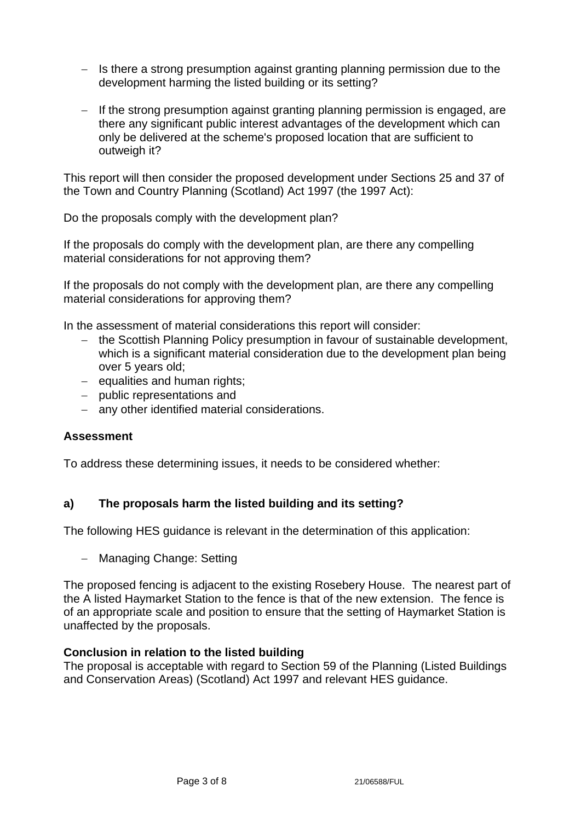- − Is there a strong presumption against granting planning permission due to the development harming the listed building or its setting?
- − If the strong presumption against granting planning permission is engaged, are there any significant public interest advantages of the development which can only be delivered at the scheme's proposed location that are sufficient to outweigh it?

This report will then consider the proposed development under Sections 25 and 37 of the Town and Country Planning (Scotland) Act 1997 (the 1997 Act):

Do the proposals comply with the development plan?

If the proposals do comply with the development plan, are there any compelling material considerations for not approving them?

If the proposals do not comply with the development plan, are there any compelling material considerations for approving them?

In the assessment of material considerations this report will consider:

- − the Scottish Planning Policy presumption in favour of sustainable development, which is a significant material consideration due to the development plan being over 5 years old;
- − equalities and human rights;
- − public representations and
- − any other identified material considerations.

### **Assessment**

To address these determining issues, it needs to be considered whether:

## **a) The proposals harm the listed building and its setting?**

The following HES guidance is relevant in the determination of this application:

− Managing Change: Setting

The proposed fencing is adjacent to the existing Rosebery House. The nearest part of the A listed Haymarket Station to the fence is that of the new extension. The fence is of an appropriate scale and position to ensure that the setting of Haymarket Station is unaffected by the proposals.

### **Conclusion in relation to the listed building**

The proposal is acceptable with regard to Section 59 of the Planning (Listed Buildings and Conservation Areas) (Scotland) Act 1997 and relevant HES guidance.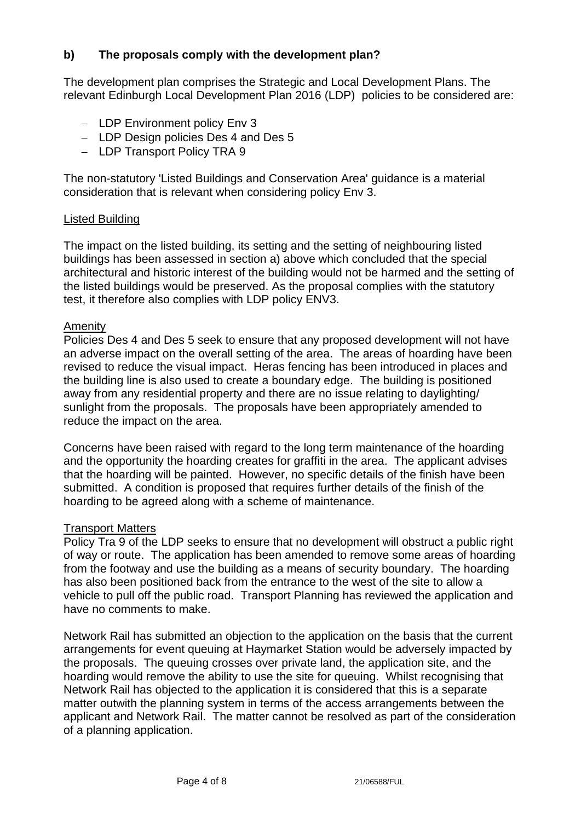# **b) The proposals comply with the development plan?**

The development plan comprises the Strategic and Local Development Plans. The relevant Edinburgh Local Development Plan 2016 (LDP) policies to be considered are:

- − LDP Environment policy Env 3
- − LDP Design policies Des 4 and Des 5
- − LDP Transport Policy TRA 9

The non-statutory 'Listed Buildings and Conservation Area' guidance is a material consideration that is relevant when considering policy Env 3.

## Listed Building

The impact on the listed building, its setting and the setting of neighbouring listed buildings has been assessed in section a) above which concluded that the special architectural and historic interest of the building would not be harmed and the setting of the listed buildings would be preserved. As the proposal complies with the statutory test, it therefore also complies with LDP policy ENV3.

## Amenity

Policies Des 4 and Des 5 seek to ensure that any proposed development will not have an adverse impact on the overall setting of the area. The areas of hoarding have been revised to reduce the visual impact. Heras fencing has been introduced in places and the building line is also used to create a boundary edge. The building is positioned away from any residential property and there are no issue relating to daylighting/ sunlight from the proposals. The proposals have been appropriately amended to reduce the impact on the area.

Concerns have been raised with regard to the long term maintenance of the hoarding and the opportunity the hoarding creates for graffiti in the area. The applicant advises that the hoarding will be painted. However, no specific details of the finish have been submitted. A condition is proposed that requires further details of the finish of the hoarding to be agreed along with a scheme of maintenance.

### Transport Matters

Policy Tra 9 of the LDP seeks to ensure that no development will obstruct a public right of way or route. The application has been amended to remove some areas of hoarding from the footway and use the building as a means of security boundary. The hoarding has also been positioned back from the entrance to the west of the site to allow a vehicle to pull off the public road. Transport Planning has reviewed the application and have no comments to make.

Network Rail has submitted an objection to the application on the basis that the current arrangements for event queuing at Haymarket Station would be adversely impacted by the proposals. The queuing crosses over private land, the application site, and the hoarding would remove the ability to use the site for queuing. Whilst recognising that Network Rail has objected to the application it is considered that this is a separate matter outwith the planning system in terms of the access arrangements between the applicant and Network Rail. The matter cannot be resolved as part of the consideration of a planning application.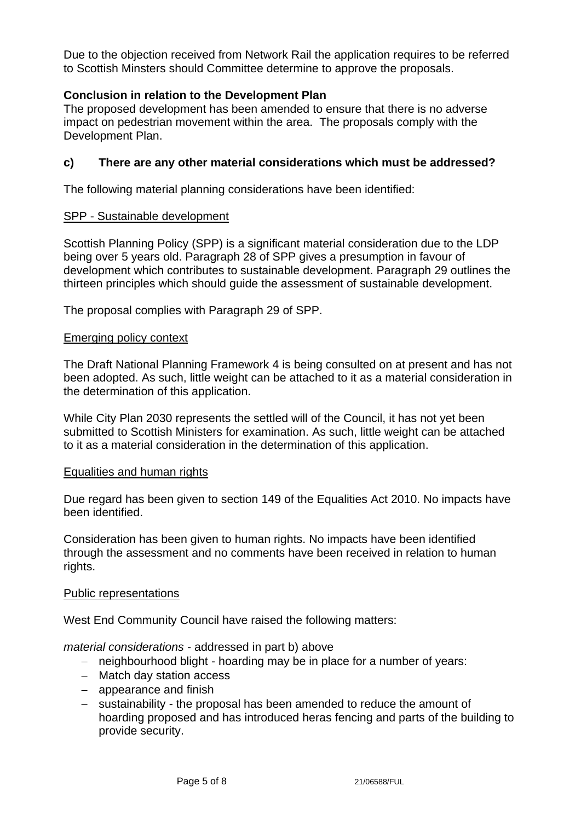Due to the objection received from Network Rail the application requires to be referred to Scottish Minsters should Committee determine to approve the proposals.

# **Conclusion in relation to the Development Plan**

The proposed development has been amended to ensure that there is no adverse impact on pedestrian movement within the area. The proposals comply with the Development Plan.

# **c) There are any other material considerations which must be addressed?**

The following material planning considerations have been identified:

## SPP - Sustainable development

Scottish Planning Policy (SPP) is a significant material consideration due to the LDP being over 5 years old. Paragraph 28 of SPP gives a presumption in favour of development which contributes to sustainable development. Paragraph 29 outlines the thirteen principles which should guide the assessment of sustainable development.

The proposal complies with Paragraph 29 of SPP.

### Emerging policy context

The Draft National Planning Framework 4 is being consulted on at present and has not been adopted. As such, little weight can be attached to it as a material consideration in the determination of this application.

While City Plan 2030 represents the settled will of the Council, it has not yet been submitted to Scottish Ministers for examination. As such, little weight can be attached to it as a material consideration in the determination of this application.

### Equalities and human rights

Due regard has been given to section 149 of the Equalities Act 2010. No impacts have been identified.

Consideration has been given to human rights. No impacts have been identified through the assessment and no comments have been received in relation to human rights.

### Public representations

West End Community Council have raised the following matters:

*material considerations* - addressed in part b) above

- − neighbourhood blight hoarding may be in place for a number of years:
- − Match day station access
- − appearance and finish
- − sustainability the proposal has been amended to reduce the amount of hoarding proposed and has introduced heras fencing and parts of the building to provide security.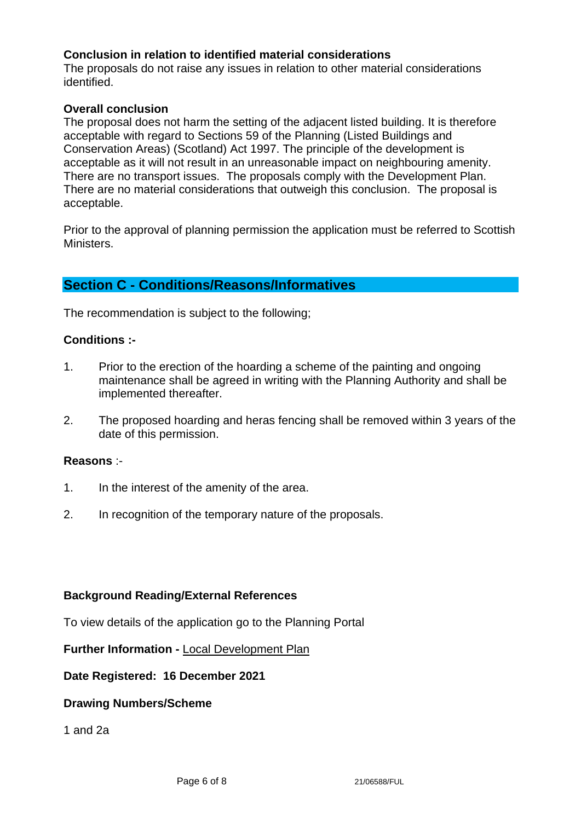## **Conclusion in relation to identified material considerations**

The proposals do not raise any issues in relation to other material considerations identified.

## **Overall conclusion**

The proposal does not harm the setting of the adjacent listed building. It is therefore acceptable with regard to Sections 59 of the Planning (Listed Buildings and Conservation Areas) (Scotland) Act 1997. The principle of the development is acceptable as it will not result in an unreasonable impact on neighbouring amenity. There are no transport issues. The proposals comply with the Development Plan. There are no material considerations that outweigh this conclusion. The proposal is acceptable.

Prior to the approval of planning permission the application must be referred to Scottish Ministers.

# **Section C - Conditions/Reasons/Informatives**

The recommendation is subject to the following;

## **Conditions :-**

- 1. Prior to the erection of the hoarding a scheme of the painting and ongoing maintenance shall be agreed in writing with the Planning Authority and shall be implemented thereafter.
- 2. The proposed hoarding and heras fencing shall be removed within 3 years of the date of this permission.

## **Reasons** :-

- 1. In the interest of the amenity of the area.
- 2. In recognition of the temporary nature of the proposals.

## **Background Reading/External References**

To view details of the application go to the Planning Portal

**Further Information -** [Local Development Plan](https://www.edinburgh.gov.uk/local-development-plan-guidance-1/edinburgh-local-development-plan/1)

**Date Registered: 16 December 2021**

### **Drawing Numbers/Scheme**

1 and 2a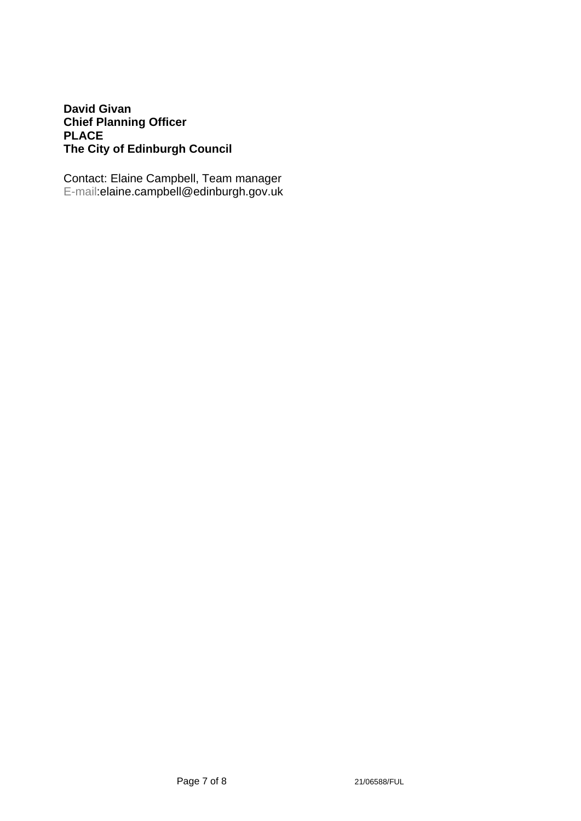# **David Givan Chief Planning Officer PLACE The City of Edinburgh Council**

Contact: Elaine Campbell, Team manager E-mail:elaine.campbell@edinburgh.gov.uk